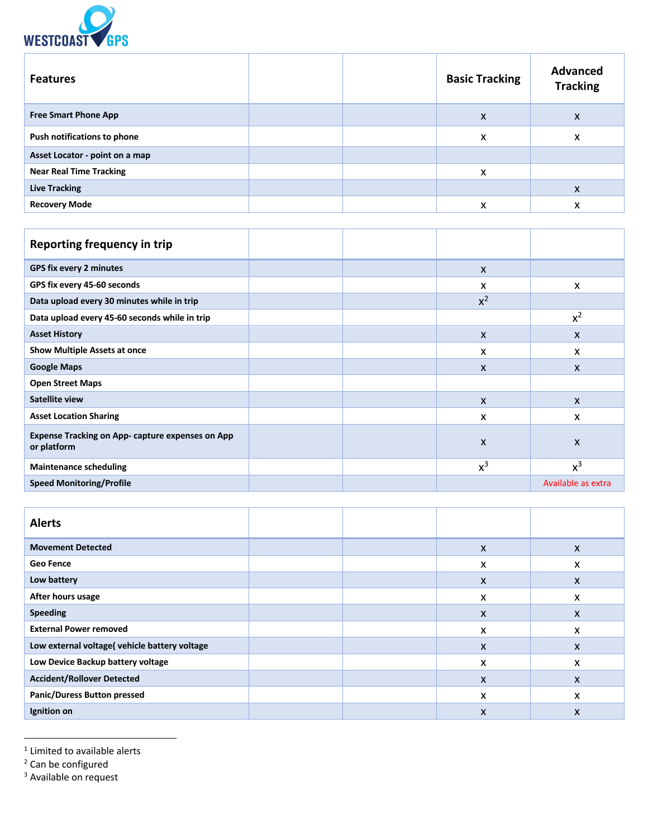

| <b>Features</b>                |  | <b>Basic Tracking</b> | <b>Advanced</b><br><b>Tracking</b> |
|--------------------------------|--|-----------------------|------------------------------------|
| <b>Free Smart Phone App</b>    |  | X                     | X                                  |
| Push notifications to phone    |  | x                     | X                                  |
| Asset Locator - point on a map |  |                       |                                    |
| <b>Near Real Time Tracking</b> |  | X                     |                                    |
| <b>Live Tracking</b>           |  |                       | X                                  |
| <b>Recovery Mode</b>           |  | x                     | x                                  |

| Reporting frequency in trip                                            |              |                    |
|------------------------------------------------------------------------|--------------|--------------------|
| GPS fix every 2 minutes                                                | $\mathsf{x}$ |                    |
| GPS fix every 45-60 seconds                                            | x            | X                  |
| Data upload every 30 minutes while in trip                             | $x^2$        |                    |
| Data upload every 45-60 seconds while in trip                          |              | $x^2$              |
| <b>Asset History</b>                                                   | $\mathsf{x}$ | X                  |
| <b>Show Multiple Assets at once</b>                                    | x            | x                  |
| <b>Google Maps</b>                                                     | X            | X                  |
| <b>Open Street Maps</b>                                                |              |                    |
| <b>Satellite view</b>                                                  | $\mathsf{x}$ | $\mathsf{x}$       |
| <b>Asset Location Sharing</b>                                          | X            | X                  |
| <b>Expense Tracking on App- capture expenses on App</b><br>or platform | X            | X                  |
| <b>Maintenance scheduling</b>                                          | $x^3$        | $x^3$              |
| <b>Speed Monitoring/Profile</b>                                        |              | Available as extra |

| <b>Alerts</b>                                 |  |   |   |
|-----------------------------------------------|--|---|---|
| <b>Movement Detected</b>                      |  | X | X |
| <b>Geo Fence</b>                              |  | X | X |
| Low battery                                   |  | X | X |
| After hours usage                             |  | x | X |
| <b>Speeding</b>                               |  | X | X |
| <b>External Power removed</b>                 |  | x | X |
| Low external voltage( vehicle battery voltage |  | X | X |
| Low Device Backup battery voltage             |  | x | X |
| <b>Accident/Rollover Detected</b>             |  | X | X |
| <b>Panic/Duress Button pressed</b>            |  | X | X |
| Ignition on                                   |  | X | X |

 $1$  Limited to available alerts

<sup>2</sup> Can be configured

<sup>3</sup> Available on request